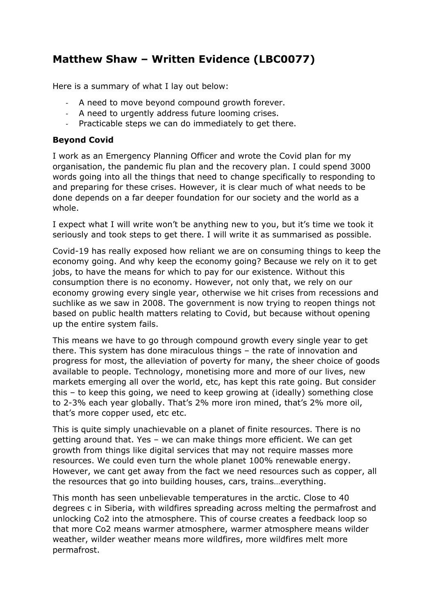## **Matthew Shaw – Written Evidence (LBC0077)**

Here is a summary of what I lay out below:

- A need to move beyond compound growth forever.
- A need to urgently address future looming crises.
- Practicable steps we can do immediately to get there.

## **Beyond Covid**

I work as an Emergency Planning Officer and wrote the Covid plan for my organisation, the pandemic flu plan and the recovery plan. I could spend 3000 words going into all the things that need to change specifically to responding to and preparing for these crises. However, it is clear much of what needs to be done depends on a far deeper foundation for our society and the world as a whole.

I expect what I will write won't be anything new to you, but it's time we took it seriously and took steps to get there. I will write it as summarised as possible.

Covid-19 has really exposed how reliant we are on consuming things to keep the economy going. And why keep the economy going? Because we rely on it to get jobs, to have the means for which to pay for our existence. Without this consumption there is no economy. However, not only that, we rely on our economy growing every single year, otherwise we hit crises from recessions and suchlike as we saw in 2008. The government is now trying to reopen things not based on public health matters relating to Covid, but because without opening up the entire system fails.

This means we have to go through compound growth every single year to get there. This system has done miraculous things – the rate of innovation and progress for most, the alleviation of poverty for many, the sheer choice of goods available to people. Technology, monetising more and more of our lives, new markets emerging all over the world, etc, has kept this rate going. But consider this – to keep this going, we need to keep growing at (ideally) something close to 2-3% each year globally. That's 2% more iron mined, that's 2% more oil, that's more copper used, etc etc.

This is quite simply unachievable on a planet of finite resources. There is no getting around that. Yes – we can make things more efficient. We can get growth from things like digital services that may not require masses more resources. We could even turn the whole planet 100% renewable energy. However, we cant get away from the fact we need resources such as copper, all the resources that go into building houses, cars, trains…everything.

This month has seen unbelievable temperatures in the arctic. Close to 40 degrees c in Siberia, with wildfires spreading across melting the permafrost and unlocking Co2 into the atmosphere. This of course creates a feedback loop so that more Co2 means warmer atmosphere, warmer atmosphere means wilder weather, wilder weather means more wildfires, more wildfires melt more permafrost.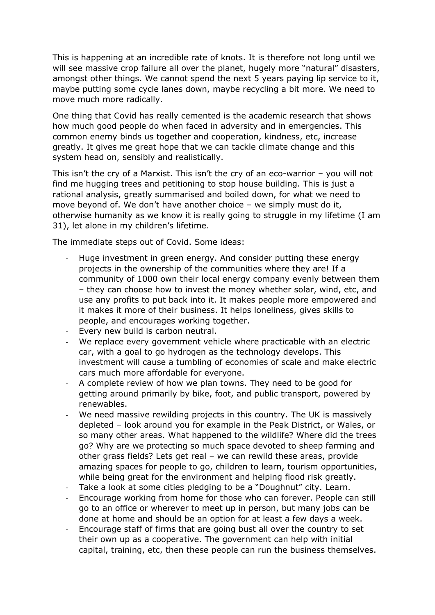This is happening at an incredible rate of knots. It is therefore not long until we will see massive crop failure all over the planet, hugely more "natural" disasters, amongst other things. We cannot spend the next 5 years paying lip service to it, maybe putting some cycle lanes down, maybe recycling a bit more. We need to move much more radically.

One thing that Covid has really cemented is the academic research that shows how much good people do when faced in adversity and in emergencies. This common enemy binds us together and cooperation, kindness, etc, increase greatly. It gives me great hope that we can tackle climate change and this system head on, sensibly and realistically.

This isn't the cry of a Marxist. This isn't the cry of an eco-warrior – you will not find me hugging trees and petitioning to stop house building. This is just a rational analysis, greatly summarised and boiled down, for what we need to move beyond of. We don't have another choice – we simply must do it, otherwise humanity as we know it is really going to struggle in my lifetime (I am 31), let alone in my children's lifetime.

The immediate steps out of Covid. Some ideas:

- Huge investment in green energy. And consider putting these energy projects in the ownership of the communities where they are! If a community of 1000 own their local energy company evenly between them – they can choose how to invest the money whether solar, wind, etc, and use any profits to put back into it. It makes people more empowered and it makes it more of their business. It helps loneliness, gives skills to people, and encourages working together.
- Every new build is carbon neutral.
- We replace every government vehicle where practicable with an electric car, with a goal to go hydrogen as the technology develops. This investment will cause a tumbling of economies of scale and make electric cars much more affordable for everyone.
- A complete review of how we plan towns. They need to be good for getting around primarily by bike, foot, and public transport, powered by renewables.
- We need massive rewilding projects in this country. The UK is massively depleted – look around you for example in the Peak District, or Wales, or so many other areas. What happened to the wildlife? Where did the trees go? Why are we protecting so much space devoted to sheep farming and other grass fields? Lets get real – we can rewild these areas, provide amazing spaces for people to go, children to learn, tourism opportunities, while being great for the environment and helping flood risk greatly.
- Take a look at some cities pledging to be a "Doughnut" city. Learn.
- Encourage working from home for those who can forever. People can still go to an office or wherever to meet up in person, but many jobs can be done at home and should be an option for at least a few days a week.
- Encourage staff of firms that are going bust all over the country to set their own up as a cooperative. The government can help with initial capital, training, etc, then these people can run the business themselves.